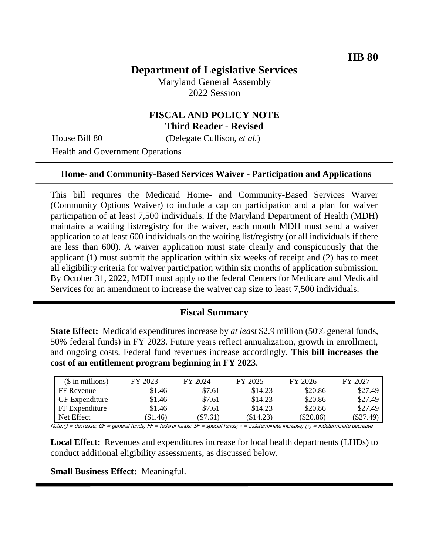## **Department of Legislative Services**

Maryland General Assembly 2022 Session

## **FISCAL AND POLICY NOTE Third Reader - Revised**

House Bill 80 (Delegate Cullison, *et al.*)

Health and Government Operations

#### **Home- and Community-Based Services Waiver - Participation and Applications**

This bill requires the Medicaid Home- and Community-Based Services Waiver (Community Options Waiver) to include a cap on participation and a plan for waiver participation of at least 7,500 individuals. If the Maryland Department of Health (MDH) maintains a waiting list/registry for the waiver, each month MDH must send a waiver application to at least 600 individuals on the waiting list/registry (or all individuals if there are less than 600). A waiver application must state clearly and conspicuously that the applicant (1) must submit the application within six weeks of receipt and (2) has to meet all eligibility criteria for waiver participation within six months of application submission. By October 31, 2022, MDH must apply to the federal Centers for Medicare and Medicaid Services for an amendment to increase the waiver cap size to least 7,500 individuals.

#### **Fiscal Summary**

**State Effect:** Medicaid expenditures increase by *at least* \$2.9 million (50% general funds, 50% federal funds) in FY 2023. Future years reflect annualization, growth in enrollment, and ongoing costs. Federal fund revenues increase accordingly. **This bill increases the cost of an entitlement program beginning in FY 2023.**

| $($$ in millions)     | FY 2023  | FY 2024    | FY 2025   | FY 2026   | FY 2027     |
|-----------------------|----------|------------|-----------|-----------|-------------|
| FF Revenue            | \$1.46   | \$7.61     | \$14.23   | \$20.86   | \$27.49     |
| <b>GF</b> Expenditure | \$1.46   | \$7.61     | \$14.23   | \$20.86   | \$27.49     |
| FF Expenditure        | \$1.46   | \$7.61     | \$14.23   | \$20.86   | \$27.49     |
| Net Effect            | (\$1.46) | $(\$7.61)$ | (\$14.23) | (\$20.86) | $(\$27.49)$ |

Note:() = decrease; GF = general funds; FF = federal funds; SF = special funds; - = indeterminate increase; (-) = indeterminate decrease

**Local Effect:** Revenues and expenditures increase for local health departments (LHDs) to conduct additional eligibility assessments, as discussed below.

**Small Business Effect:** Meaningful.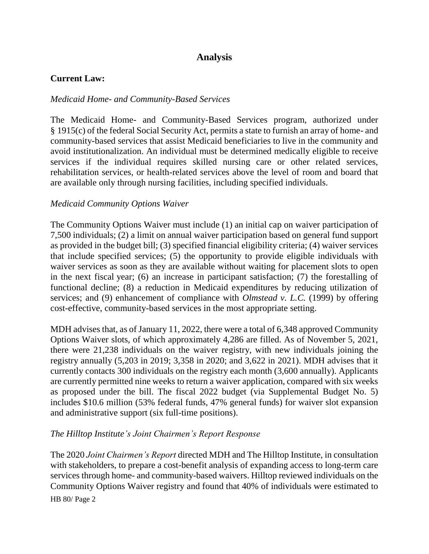## **Analysis**

### **Current Law:**

### *Medicaid Home- and Community-Based Services*

The Medicaid Home- and Community-Based Services program, authorized under § 1915(c) of the federal Social Security Act, permits a state to furnish an array of home- and community-based services that assist Medicaid beneficiaries to live in the community and avoid institutionalization. An individual must be determined medically eligible to receive services if the individual requires skilled nursing care or other related services, rehabilitation services, or health-related services above the level of room and board that are available only through nursing facilities, including specified individuals.

### *Medicaid Community Options Waiver*

The Community Options Waiver must include (1) an initial cap on waiver participation of 7,500 individuals; (2) a limit on annual waiver participation based on general fund support as provided in the budget bill; (3) specified financial eligibility criteria; (4) waiver services that include specified services; (5) the opportunity to provide eligible individuals with waiver services as soon as they are available without waiting for placement slots to open in the next fiscal year; (6) an increase in participant satisfaction; (7) the forestalling of functional decline; (8) a reduction in Medicaid expenditures by reducing utilization of services; and (9) enhancement of compliance with *Olmstead v. L.C.* (1999) by offering cost-effective, community-based services in the most appropriate setting.

MDH advises that, as of January 11, 2022, there were a total of 6,348 approved Community Options Waiver slots, of which approximately 4,286 are filled. As of November 5, 2021, there were 21,238 individuals on the waiver registry, with new individuals joining the registry annually (5,203 in 2019; 3,358 in 2020; and 3,622 in 2021). MDH advises that it currently contacts 300 individuals on the registry each month (3,600 annually). Applicants are currently permitted nine weeks to return a waiver application, compared with six weeks as proposed under the bill. The fiscal 2022 budget (via Supplemental Budget No. 5) includes \$10.6 million (53% federal funds, 47% general funds) for waiver slot expansion and administrative support (six full-time positions).

#### *The Hilltop Institute's Joint Chairmen's Report Response*

HB 80/ Page 2 The 2020 *Joint Chairmen's Report* directed MDH and The Hilltop Institute, in consultation with stakeholders, to prepare a cost-benefit analysis of expanding access to long-term care services through home- and community-based waivers. Hilltop reviewed individuals on the Community Options Waiver registry and found that 40% of individuals were estimated to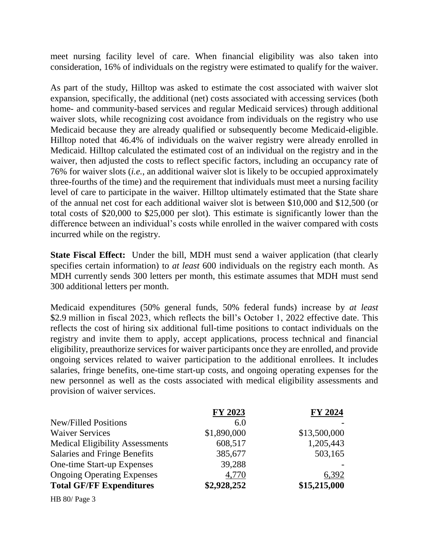meet nursing facility level of care. When financial eligibility was also taken into consideration, 16% of individuals on the registry were estimated to qualify for the waiver.

As part of the study, Hilltop was asked to estimate the cost associated with waiver slot expansion, specifically, the additional (net) costs associated with accessing services (both home- and community-based services and regular Medicaid services) through additional waiver slots, while recognizing cost avoidance from individuals on the registry who use Medicaid because they are already qualified or subsequently become Medicaid-eligible. Hilltop noted that 46.4% of individuals on the waiver registry were already enrolled in Medicaid. Hilltop calculated the estimated cost of an individual on the registry and in the waiver, then adjusted the costs to reflect specific factors, including an occupancy rate of 76% for waiver slots (*i.e.*, an additional waiver slot is likely to be occupied approximately three-fourths of the time) and the requirement that individuals must meet a nursing facility level of care to participate in the waiver. Hilltop ultimately estimated that the State share of the annual net cost for each additional waiver slot is between \$10,000 and \$12,500 (or total costs of \$20,000 to \$25,000 per slot). This estimate is significantly lower than the difference between an individual's costs while enrolled in the waiver compared with costs incurred while on the registry.

**State Fiscal Effect:** Under the bill, MDH must send a waiver application (that clearly specifies certain information) to *at least* 600 individuals on the registry each month. As MDH currently sends 300 letters per month, this estimate assumes that MDH must send 300 additional letters per month.

Medicaid expenditures (50% general funds, 50% federal funds) increase by *at least* \$2.9 million in fiscal 2023, which reflects the bill's October 1, 2022 effective date. This reflects the cost of hiring six additional full-time positions to contact individuals on the registry and invite them to apply, accept applications, process technical and financial eligibility, preauthorize services for waiver participants once they are enrolled, and provide ongoing services related to waiver participation to the additional enrollees. It includes salaries, fringe benefits, one-time start-up costs, and ongoing operating expenses for the new personnel as well as the costs associated with medical eligibility assessments and provision of waiver services.

|                                        | FY 2023     | <b>FY 2024</b> |
|----------------------------------------|-------------|----------------|
| <b>New/Filled Positions</b>            | 6.0         |                |
| <b>Waiver Services</b>                 | \$1,890,000 | \$13,500,000   |
| <b>Medical Eligibility Assessments</b> | 608,517     | 1,205,443      |
| Salaries and Fringe Benefits           | 385,677     | 503,165        |
| One-time Start-up Expenses             | 39,288      |                |
| <b>Ongoing Operating Expenses</b>      | 4,770       | 6,392          |
| <b>Total GF/FF Expenditures</b>        | \$2,928,252 | \$15,215,000   |

HB 80/ Page 3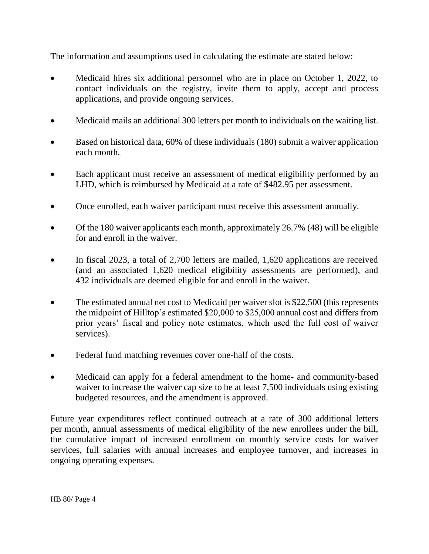The information and assumptions used in calculating the estimate are stated below:

- Medicaid hires six additional personnel who are in place on October 1, 2022, to contact individuals on the registry, invite them to apply, accept and process applications, and provide ongoing services.
- Medicaid mails an additional 300 letters per month to individuals on the waiting list.
- Based on historical data, 60% of these individuals (180) submit a waiver application each month.
- Each applicant must receive an assessment of medical eligibility performed by an LHD, which is reimbursed by Medicaid at a rate of \$482.95 per assessment.
- Once enrolled, each waiver participant must receive this assessment annually.
- Of the 180 waiver applicants each month, approximately 26.7% (48) will be eligible for and enroll in the waiver.
- In fiscal 2023, a total of 2,700 letters are mailed, 1,620 applications are received (and an associated 1,620 medical eligibility assessments are performed), and 432 individuals are deemed eligible for and enroll in the waiver.
- The estimated annual net cost to Medicaid per waiver slot is \$22,500 (this represents the midpoint of Hilltop's estimated \$20,000 to \$25,000 annual cost and differs from prior years' fiscal and policy note estimates, which used the full cost of waiver services).
- Federal fund matching revenues cover one-half of the costs.
- Medicaid can apply for a federal amendment to the home- and community-based waiver to increase the waiver cap size to be at least 7,500 individuals using existing budgeted resources, and the amendment is approved.

Future year expenditures reflect continued outreach at a rate of 300 additional letters per month, annual assessments of medical eligibility of the new enrollees under the bill, the cumulative impact of increased enrollment on monthly service costs for waiver services, full salaries with annual increases and employee turnover, and increases in ongoing operating expenses.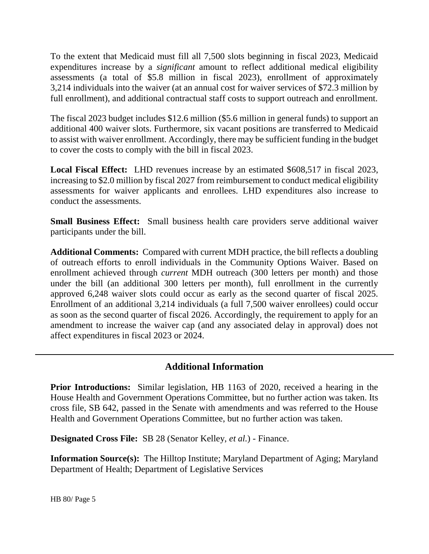To the extent that Medicaid must fill all 7,500 slots beginning in fiscal 2023, Medicaid expenditures increase by a *significant* amount to reflect additional medical eligibility assessments (a total of \$5.8 million in fiscal 2023), enrollment of approximately 3,214 individuals into the waiver (at an annual cost for waiver services of \$72.3 million by full enrollment), and additional contractual staff costs to support outreach and enrollment.

The fiscal 2023 budget includes \$12.6 million (\$5.6 million in general funds) to support an additional 400 waiver slots. Furthermore, six vacant positions are transferred to Medicaid to assist with waiver enrollment. Accordingly, there may be sufficient funding in the budget to cover the costs to comply with the bill in fiscal 2023.

**Local Fiscal Effect:** LHD revenues increase by an estimated \$608,517 in fiscal 2023, increasing to \$2.0 million by fiscal 2027 from reimbursement to conduct medical eligibility assessments for waiver applicants and enrollees. LHD expenditures also increase to conduct the assessments.

**Small Business Effect:** Small business health care providers serve additional waiver participants under the bill.

**Additional Comments:** Compared with current MDH practice, the bill reflects a doubling of outreach efforts to enroll individuals in the Community Options Waiver. Based on enrollment achieved through *current* MDH outreach (300 letters per month) and those under the bill (an additional 300 letters per month), full enrollment in the currently approved 6,248 waiver slots could occur as early as the second quarter of fiscal 2025. Enrollment of an additional 3,214 individuals (a full 7,500 waiver enrollees) could occur as soon as the second quarter of fiscal 2026. Accordingly, the requirement to apply for an amendment to increase the waiver cap (and any associated delay in approval) does not affect expenditures in fiscal 2023 or 2024.

# **Additional Information**

**Prior Introductions:** Similar legislation, HB 1163 of 2020, received a hearing in the House Health and Government Operations Committee, but no further action was taken. Its cross file, SB 642, passed in the Senate with amendments and was referred to the House Health and Government Operations Committee, but no further action was taken.

**Designated Cross File:** SB 28 (Senator Kelley, *et al.*) - Finance.

**Information Source(s):** The Hilltop Institute; Maryland Department of Aging; Maryland Department of Health; Department of Legislative Services